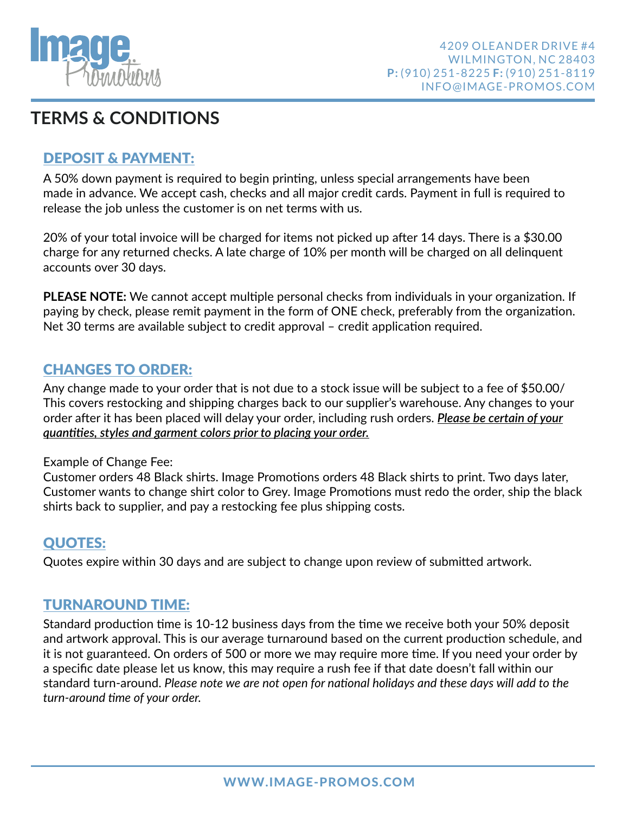

# **TERMS & CONDITIONS**

## DEPOSIT & PAYMENT:

A 50% down payment is required to begin printing, unless special arrangements have been made in advance. We accept cash, checks and all major credit cards. Payment in full is required to release the job unless the customer is on net terms with us.

20% of your total invoice will be charged for items not picked up after 14 days. There is a \$30.00 charge for any returned checks. A late charge of 10% per month will be charged on all delinquent accounts over 30 days.

**PLEASE NOTE:** We cannot accept multiple personal checks from individuals in your organization. If paying by check, please remit payment in the form of ONE check, preferably from the organization. Net 30 terms are available subject to credit approval  $-$  credit application required.

### CHANGES TO ORDER:

Any change made to your order that is not due to a stock issue will be subject to a fee of \$50.00/ This covers restocking and shipping charges back to our supplier's warehouse. Any changes to your order after it has been placed will delay your order, including rush orders. *Please be certain of your guantities, styles and garment colors prior to placing your order.* 

#### Example of Change Fee:

Customer orders 48 Black shirts. Image Promotions orders 48 Black shirts to print. Two days later, Customer wants to change shirt color to Grey. Image Promotions must redo the order, ship the black shirts back to supplier, and pay a restocking fee plus shipping costs.

### QUOTES:

Quotes expire within 30 days and are subject to change upon review of submitted artwork.

### TURNAROUND TIME:

Standard production time is 10-12 business days from the time we receive both your 50% deposit and artwork approval. This is our average turnaround based on the current production schedule, and it is not guaranteed. On orders of 500 or more we may require more time. If you need your order by a specific date please let us know, this may require a rush fee if that date doesn't fall within our standard turn-around. *Please note we are not open for national holidays and these days will add to the turn-around me of your order.*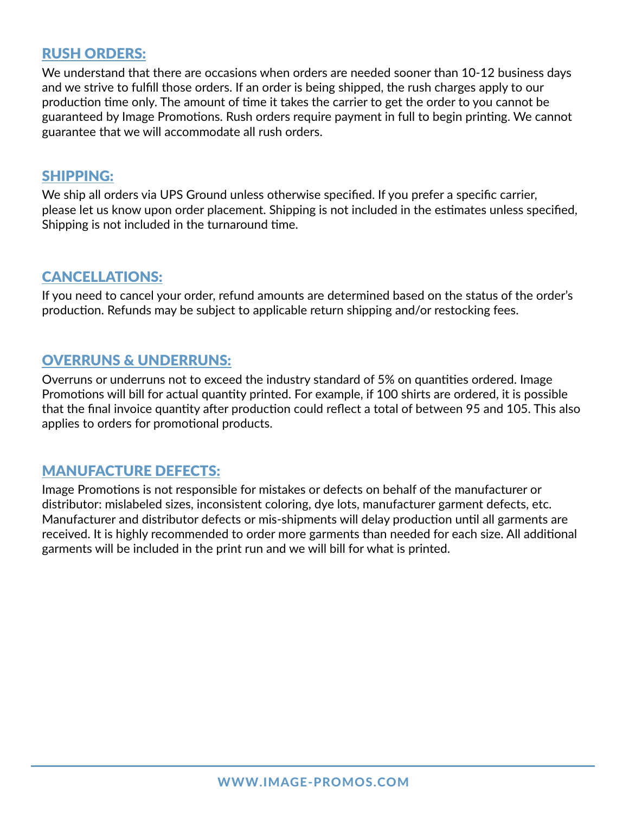### RUSH ORDERS:

We understand that there are occasions when orders are needed sooner than 10-12 business days and we strive to fulfill those orders. If an order is being shipped, the rush charges apply to our production time only. The amount of time it takes the carrier to get the order to you cannot be guaranteed by Image Promotions. Rush orders require payment in full to begin printing. We cannot guarantee that we will accommodate all rush orders.

#### SHIPPING:

We ship all orders via UPS Ground unless otherwise specified. If you prefer a specific carrier, please let us know upon order placement. Shipping is not included in the estimates unless specified, Shipping is not included in the turnaround time.

## CANCELLATIONS:

If you need to cancel your order, refund amounts are determined based on the status of the order's production. Refunds may be subject to applicable return shipping and/or restocking fees.

### OVERRUNS & UNDERRUNS:

Overruns or underruns not to exceed the industry standard of 5% on quantities ordered. Image Promotions will bill for actual quantity printed. For example, if 100 shirts are ordered, it is possible that the final invoice quantity after production could reflect a total of between 95 and 105. This also applies to orders for promotional products.

#### MANUFACTURE DEFECTS:

Image Promotions is not responsible for mistakes or defects on behalf of the manufacturer or distributor: mislabeled sizes, inconsistent coloring, dye lots, manufacturer garment defects, etc. Manufacturer and distributor defects or mis-shipments will delay production until all garments are received. It is highly recommended to order more garments than needed for each size. All additional garments will be included in the print run and we will bill for what is printed.